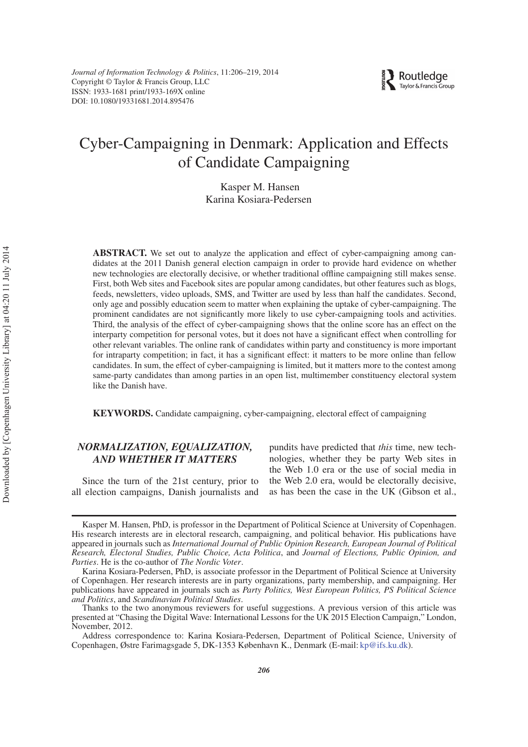

# Cyber-Campaigning in Denmark: Application and Effects of Candidate Campaigning

Kasper M. Hansen Karina Kosiara-Pedersen

**ABSTRACT.** We set out to analyze the application and effect of cyber-campaigning among candidates at the 2011 Danish general election campaign in order to provide hard evidence on whether new technologies are electorally decisive, or whether traditional offline campaigning still makes sense. First, both Web sites and Facebook sites are popular among candidates, but other features such as blogs, feeds, newsletters, video uploads, SMS, and Twitter are used by less than half the candidates. Second, only age and possibly education seem to matter when explaining the uptake of cyber-campaigning. The prominent candidates are not significantly more likely to use cyber-campaigning tools and activities. Third, the analysis of the effect of cyber-campaigning shows that the online score has an effect on the interparty competition for personal votes, but it does not have a significant effect when controlling for other relevant variables. The online rank of candidates within party and constituency is more important for intraparty competition; in fact, it has a significant effect: it matters to be more online than fellow candidates. In sum, the effect of cyber-campaigning is limited, but it matters more to the contest among same-party candidates than among parties in an open list, multimember constituency electoral system like the Danish have.

**KEYWORDS.** Candidate campaigning, cyber-campaigning, electoral effect of campaigning

# *NORMALIZATION, EQUALIZATION, AND WHETHER IT MATTERS*

Since the turn of the 21st century, prior to all election campaigns, Danish journalists and

pundits have predicted that *this* time, new technologies, whether they be party Web sites in the Web 1.0 era or the use of social media in the Web 2.0 era, would be electorally decisive, as has been the case in the UK (Gibson et al.,

Kasper M. Hansen, PhD, is professor in the Department of Political Science at University of Copenhagen. His research interests are in electoral research, campaigning, and political behavior. His publications have appeared in journals such as *International Journal of Public Opinion Research, European Journal of Political Research, Electoral Studies, Public Choice, Acta Politica*, and *Journal of Elections, Public Opinion, and Parties*. He is the co-author of *The Nordic Voter*.

Karina Kosiara-Pedersen, PhD, is associate professor in the Department of Political Science at University of Copenhagen. Her research interests are in party organizations, party membership, and campaigning. Her publications have appeared in journals such as *Party Politics, West European Politics, PS Political Science and Politics*, and *Scandinavian Political Studies*.

Thanks to the two anonymous reviewers for useful suggestions. A previous version of this article was presented at "Chasing the Digital Wave: International Lessons for the UK 2015 Election Campaign," London, November, 2012.

Address correspondence to: Karina Kosiara-Pedersen, Department of Political Science, University of Copenhagen, Østre Farimagsgade 5, DK-1353 København K., Denmark (E-mail: kp@ifs.ku.dk).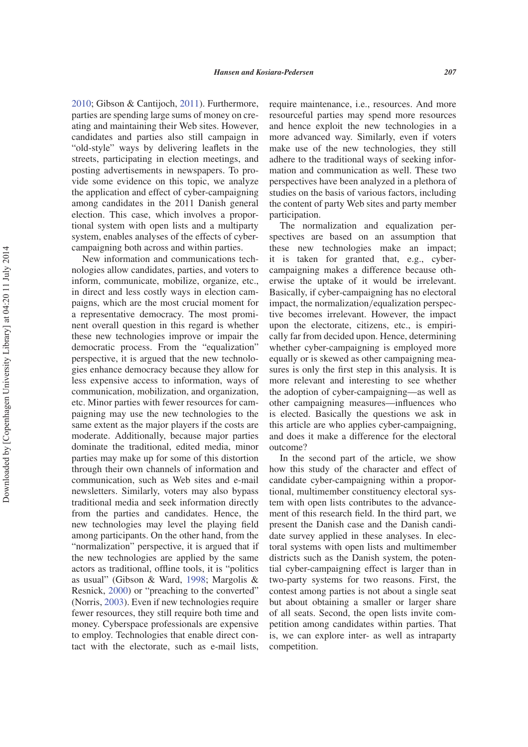2010; Gibson & Cantijoch, 2011). Furthermore, parties are spending large sums of money on creating and maintaining their Web sites. However, candidates and parties also still campaign in "old-style" ways by delivering leaflets in the streets, participating in election meetings, and posting advertisements in newspapers. To provide some evidence on this topic, we analyze the application and effect of cyber-campaigning among candidates in the 2011 Danish general election. This case, which involves a proportional system with open lists and a multiparty system, enables analyses of the effects of cybercampaigning both across and within parties.

New information and communications technologies allow candidates, parties, and voters to inform, communicate, mobilize, organize, etc., in direct and less costly ways in election campaigns, which are the most crucial moment for a representative democracy. The most prominent overall question in this regard is whether these new technologies improve or impair the democratic process. From the "equalization" perspective, it is argued that the new technologies enhance democracy because they allow for less expensive access to information, ways of communication, mobilization, and organization, etc. Minor parties with fewer resources for campaigning may use the new technologies to the same extent as the major players if the costs are moderate. Additionally, because major parties dominate the traditional, edited media, minor parties may make up for some of this distortion through their own channels of information and communication, such as Web sites and e-mail newsletters. Similarly, voters may also bypass traditional media and seek information directly from the parties and candidates. Hence, the new technologies may level the playing field among participants. On the other hand, from the "normalization" perspective, it is argued that if the new technologies are applied by the same actors as traditional, offline tools, it is "politics as usual" (Gibson & Ward, 1998; Margolis & Resnick, 2000) or "preaching to the converted" (Norris, 2003). Even if new technologies require fewer resources, they still require both time and money. Cyberspace professionals are expensive to employ. Technologies that enable direct contact with the electorate, such as e-mail lists, require maintenance, i.e., resources. And more resourceful parties may spend more resources and hence exploit the new technologies in a more advanced way. Similarly, even if voters make use of the new technologies, they still adhere to the traditional ways of seeking information and communication as well. These two perspectives have been analyzed in a plethora of studies on the basis of various factors, including the content of party Web sites and party member participation.

The normalization and equalization perspectives are based on an assumption that these new technologies make an impact; it is taken for granted that, e.g., cybercampaigning makes a difference because otherwise the uptake of it would be irrelevant. Basically, if cyber-campaigning has no electoral impact, the normalization/equalization perspective becomes irrelevant. However, the impact upon the electorate, citizens, etc., is empirically far from decided upon. Hence, determining whether cyber-campaigning is employed more equally or is skewed as other campaigning measures is only the first step in this analysis. It is more relevant and interesting to see whether the adoption of cyber-campaigning—as well as other campaigning measures—influences who is elected. Basically the questions we ask in this article are who applies cyber-campaigning, and does it make a difference for the electoral outcome?

In the second part of the article, we show how this study of the character and effect of candidate cyber-campaigning within a proportional, multimember constituency electoral system with open lists contributes to the advancement of this research field. In the third part, we present the Danish case and the Danish candidate survey applied in these analyses. In electoral systems with open lists and multimember districts such as the Danish system, the potential cyber-campaigning effect is larger than in two-party systems for two reasons. First, the contest among parties is not about a single seat but about obtaining a smaller or larger share of all seats. Second, the open lists invite competition among candidates within parties. That is, we can explore inter- as well as intraparty competition.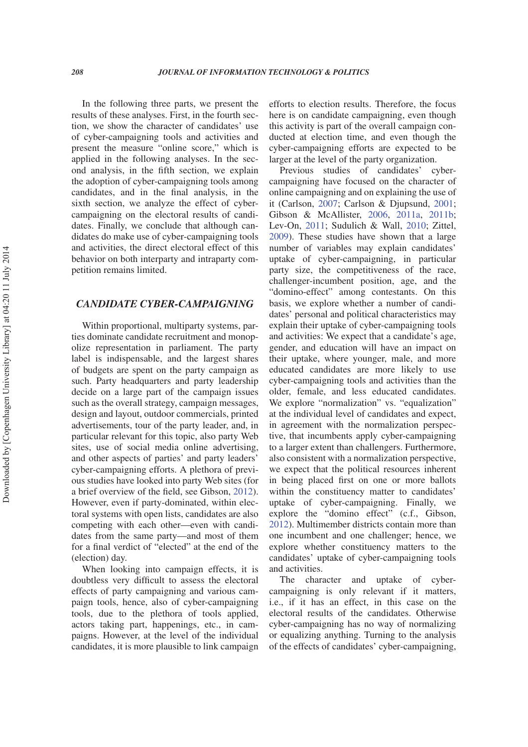In the following three parts, we present the results of these analyses. First, in the fourth section, we show the character of candidates' use of cyber-campaigning tools and activities and present the measure "online score," which is applied in the following analyses. In the second analysis, in the fifth section, we explain the adoption of cyber-campaigning tools among candidates, and in the final analysis, in the sixth section, we analyze the effect of cybercampaigning on the electoral results of candidates. Finally, we conclude that although candidates do make use of cyber-campaigning tools and activities, the direct electoral effect of this behavior on both interparty and intraparty competition remains limited.

#### *CANDIDATE CYBER-CAMPAIGNING*

Within proportional, multiparty systems, parties dominate candidate recruitment and monopolize representation in parliament. The party label is indispensable, and the largest shares of budgets are spent on the party campaign as such. Party headquarters and party leadership decide on a large part of the campaign issues such as the overall strategy, campaign messages, design and layout, outdoor commercials, printed advertisements, tour of the party leader, and, in particular relevant for this topic, also party Web sites, use of social media online advertising, and other aspects of parties' and party leaders' cyber-campaigning efforts. A plethora of previous studies have looked into party Web sites (for a brief overview of the field, see Gibson, 2012). However, even if party-dominated, within electoral systems with open lists, candidates are also competing with each other—even with candidates from the same party—and most of them for a final verdict of "elected" at the end of the (election) day.

When looking into campaign effects, it is doubtless very difficult to assess the electoral effects of party campaigning and various campaign tools, hence, also of cyber-campaigning tools, due to the plethora of tools applied, actors taking part, happenings, etc., in campaigns. However, at the level of the individual candidates, it is more plausible to link campaign

efforts to election results. Therefore, the focus here is on candidate campaigning, even though this activity is part of the overall campaign conducted at election time, and even though the cyber-campaigning efforts are expected to be larger at the level of the party organization.

Previous studies of candidates' cybercampaigning have focused on the character of online campaigning and on explaining the use of it (Carlson, 2007; Carlson & Djupsund, 2001; Gibson & McAllister, 2006, 2011a, 2011b; Lev-On, 2011; Sudulich & Wall, 2010; Zittel, 2009). These studies have shown that a large number of variables may explain candidates' uptake of cyber-campaigning, in particular party size, the competitiveness of the race, challenger-incumbent position, age, and the "domino-effect" among contestants. On this basis, we explore whether a number of candidates' personal and political characteristics may explain their uptake of cyber-campaigning tools and activities: We expect that a candidate's age, gender, and education will have an impact on their uptake, where younger, male, and more educated candidates are more likely to use cyber-campaigning tools and activities than the older, female, and less educated candidates. We explore "normalization" vs. "equalization" at the individual level of candidates and expect, in agreement with the normalization perspective, that incumbents apply cyber-campaigning to a larger extent than challengers. Furthermore, also consistent with a normalization perspective, we expect that the political resources inherent in being placed first on one or more ballots within the constituency matter to candidates' uptake of cyber-campaigning. Finally, we explore the "domino effect" (c.f., Gibson, 2012). Multimember districts contain more than one incumbent and one challenger; hence, we explore whether constituency matters to the candidates' uptake of cyber-campaigning tools and activities.

The character and uptake of cybercampaigning is only relevant if it matters, i.e., if it has an effect, in this case on the electoral results of the candidates. Otherwise cyber-campaigning has no way of normalizing or equalizing anything. Turning to the analysis of the effects of candidates' cyber-campaigning,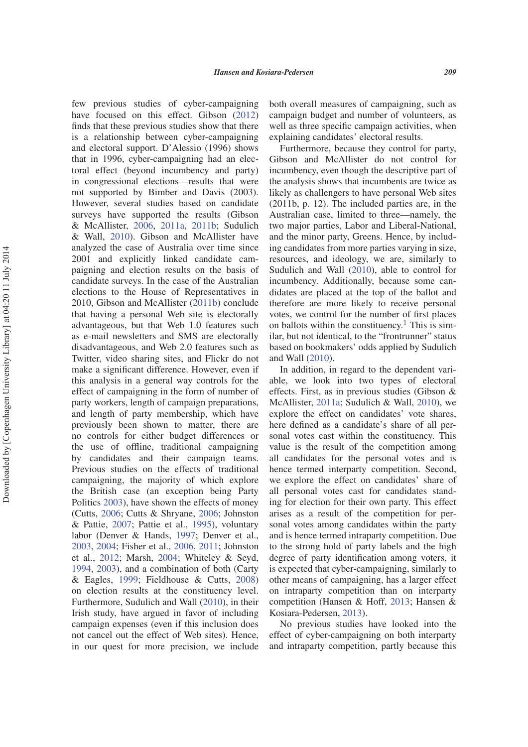few previous studies of cyber-campaigning have focused on this effect. Gibson (2012) finds that these previous studies show that there is a relationship between cyber-campaigning and electoral support. D'Alessio (1996) shows that in 1996, cyber-campaigning had an electoral effect (beyond incumbency and party) in congressional elections—results that were not supported by Bimber and Davis (2003). However, several studies based on candidate surveys have supported the results (Gibson & McAllister, 2006, 2011a, 2011b; Sudulich & Wall, 2010). Gibson and McAllister have analyzed the case of Australia over time since 2001 and explicitly linked candidate campaigning and election results on the basis of candidate surveys. In the case of the Australian elections to the House of Representatives in 2010, Gibson and McAllister (2011b) conclude that having a personal Web site is electorally advantageous, but that Web 1.0 features such as e-mail newsletters and SMS are electorally disadvantageous, and Web 2.0 features such as Twitter, video sharing sites, and Flickr do not make a significant difference. However, even if this analysis in a general way controls for the effect of campaigning in the form of number of party workers, length of campaign preparations, and length of party membership, which have previously been shown to matter, there are no controls for either budget differences or the use of offline, traditional campaigning by candidates and their campaign teams. Previous studies on the effects of traditional campaigning, the majority of which explore the British case (an exception being Party Politics 2003), have shown the effects of money (Cutts, 2006; Cutts & Shryane, 2006; Johnston & Pattie, 2007; Pattie et al., 1995), voluntary labor (Denver & Hands, 1997; Denver et al., 2003, 2004; Fisher et al., 2006, 2011; Johnston et al., 2012; Marsh, 2004; Whiteley & Seyd, 1994, 2003), and a combination of both (Carty & Eagles, 1999; Fieldhouse & Cutts, 2008) on election results at the constituency level. Furthermore, Sudulich and Wall (2010), in their Irish study, have argued in favor of including campaign expenses (even if this inclusion does not cancel out the effect of Web sites). Hence, in our quest for more precision, we include both overall measures of campaigning, such as campaign budget and number of volunteers, as well as three specific campaign activities, when explaining candidates' electoral results.

Furthermore, because they control for party, Gibson and McAllister do not control for incumbency, even though the descriptive part of the analysis shows that incumbents are twice as likely as challengers to have personal Web sites (2011b, p. 12). The included parties are, in the Australian case, limited to three—namely, the two major parties, Labor and Liberal-National, and the minor party, Greens. Hence, by including candidates from more parties varying in size, resources, and ideology, we are, similarly to Sudulich and Wall (2010), able to control for incumbency. Additionally, because some candidates are placed at the top of the ballot and therefore are more likely to receive personal votes, we control for the number of first places on ballots within the constituency.<sup>1</sup> This is similar, but not identical, to the "frontrunner" status based on bookmakers' odds applied by Sudulich and Wall (2010).

In addition, in regard to the dependent variable, we look into two types of electoral effects. First, as in previous studies (Gibson & McAllister, 2011a; Sudulich & Wall, 2010), we explore the effect on candidates' vote shares, here defined as a candidate's share of all personal votes cast within the constituency. This value is the result of the competition among all candidates for the personal votes and is hence termed interparty competition. Second, we explore the effect on candidates' share of all personal votes cast for candidates standing for election for their own party. This effect arises as a result of the competition for personal votes among candidates within the party and is hence termed intraparty competition. Due to the strong hold of party labels and the high degree of party identification among voters, it is expected that cyber-campaigning, similarly to other means of campaigning, has a larger effect on intraparty competition than on interparty competition (Hansen & Hoff, 2013; Hansen & Kosiara-Pedersen, 2013).

No previous studies have looked into the effect of cyber-campaigning on both interparty and intraparty competition, partly because this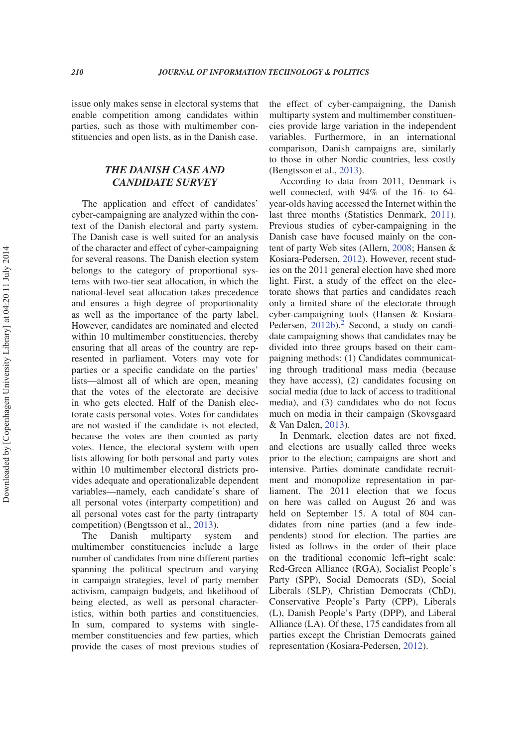issue only makes sense in electoral systems that enable competition among candidates within parties, such as those with multimember constituencies and open lists, as in the Danish case.

#### *THE DANISH CASE AND CANDIDATE SURVEY*

The application and effect of candidates' cyber-campaigning are analyzed within the context of the Danish electoral and party system. The Danish case is well suited for an analysis of the character and effect of cyber-campaigning for several reasons. The Danish election system belongs to the category of proportional systems with two-tier seat allocation, in which the national-level seat allocation takes precedence and ensures a high degree of proportionality as well as the importance of the party label. However, candidates are nominated and elected within 10 multimember constituencies, thereby ensuring that all areas of the country are represented in parliament. Voters may vote for parties or a specific candidate on the parties' lists—almost all of which are open, meaning that the votes of the electorate are decisive in who gets elected. Half of the Danish electorate casts personal votes. Votes for candidates are not wasted if the candidate is not elected, because the votes are then counted as party votes. Hence, the electoral system with open lists allowing for both personal and party votes within 10 multimember electoral districts provides adequate and operationalizable dependent variables—namely, each candidate's share of all personal votes (interparty competition) and all personal votes cast for the party (intraparty competition) (Bengtsson et al., 2013).

The Danish multiparty system and multimember constituencies include a large number of candidates from nine different parties spanning the political spectrum and varying in campaign strategies, level of party member activism, campaign budgets, and likelihood of being elected, as well as personal characteristics, within both parties and constituencies. In sum, compared to systems with singlemember constituencies and few parties, which provide the cases of most previous studies of

the effect of cyber-campaigning, the Danish multiparty system and multimember constituencies provide large variation in the independent variables. Furthermore, in an international comparison, Danish campaigns are, similarly to those in other Nordic countries, less costly (Bengtsson et al., 2013).

According to data from 2011, Denmark is well connected, with 94% of the 16- to 64 year-olds having accessed the Internet within the last three months (Statistics Denmark, 2011). Previous studies of cyber-campaigning in the Danish case have focused mainly on the content of party Web sites (Allern, 2008; Hansen & Kosiara-Pedersen, 2012). However, recent studies on the 2011 general election have shed more light. First, a study of the effect on the electorate shows that parties and candidates reach only a limited share of the electorate through cyber-campaigning tools (Hansen & Kosiara-Pedersen,  $2012b$ .<sup>2</sup> Second, a study on candidate campaigning shows that candidates may be divided into three groups based on their campaigning methods: (1) Candidates communicating through traditional mass media (because they have access), (2) candidates focusing on social media (due to lack of access to traditional media), and (3) candidates who do not focus much on media in their campaign (Skovsgaard & Van Dalen, 2013).

In Denmark, election dates are not fixed, and elections are usually called three weeks prior to the election; campaigns are short and intensive. Parties dominate candidate recruitment and monopolize representation in parliament. The 2011 election that we focus on here was called on August 26 and was held on September 15. A total of 804 candidates from nine parties (and a few independents) stood for election. The parties are listed as follows in the order of their place on the traditional economic left–right scale: Red-Green Alliance (RGA), Socialist People's Party (SPP), Social Democrats (SD), Social Liberals (SLP), Christian Democrats (ChD), Conservative People's Party (CPP), Liberals (L), Danish People's Party (DPP), and Liberal Alliance (LA). Of these, 175 candidates from all parties except the Christian Democrats gained representation (Kosiara-Pedersen, 2012).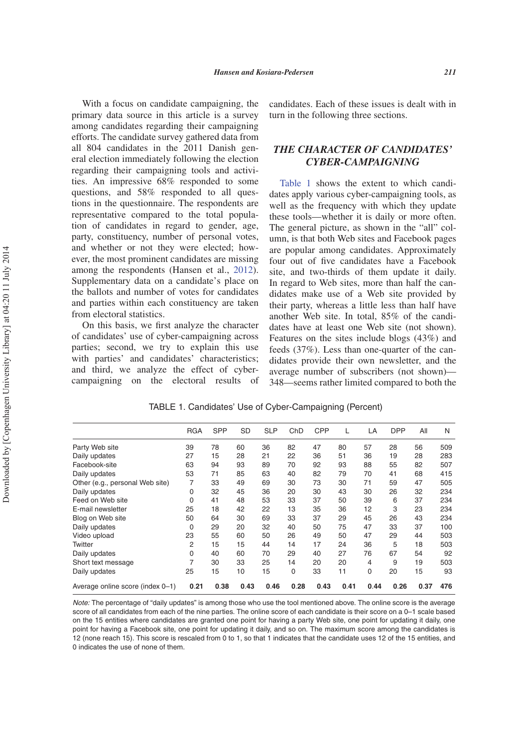With a focus on candidate campaigning, the primary data source in this article is a survey among candidates regarding their campaigning efforts. The candidate survey gathered data from all 804 candidates in the 2011 Danish general election immediately following the election regarding their campaigning tools and activities. An impressive 68% responded to some questions, and 58% responded to all questions in the questionnaire. The respondents are representative compared to the total population of candidates in regard to gender, age, party, constituency, number of personal votes, and whether or not they were elected; however, the most prominent candidates are missing among the respondents (Hansen et al., 2012). Supplementary data on a candidate's place on the ballots and number of votes for candidates and parties within each constituency are taken from electoral statistics.

On this basis, we first analyze the character of candidates' use of cyber-campaigning across parties; second, we try to explain this use with parties' and candidates' characteristics; and third, we analyze the effect of cybercampaigning on the electoral results of candidates. Each of these issues is dealt with in turn in the following three sections.

# *THE CHARACTER OF CANDIDATES' CYBER-CAMPAIGNING*

Table 1 shows the extent to which candidates apply various cyber-campaigning tools, as well as the frequency with which they update these tools—whether it is daily or more often. The general picture, as shown in the "all" column, is that both Web sites and Facebook pages are popular among candidates. Approximately four out of five candidates have a Facebook site, and two-thirds of them update it daily. In regard to Web sites, more than half the candidates make use of a Web site provided by their party, whereas a little less than half have another Web site. In total, 85% of the candidates have at least one Web site (not shown). Features on the sites include blogs (43%) and feeds (37%). Less than one-quarter of the candidates provide their own newsletter, and the average number of subscribers (not shown)— 348—seems rather limited compared to both the

TABLE 1. Candidates' Use of Cyber-Campaigning (Percent)

|                                  | <b>RGA</b> | <b>SPP</b> | SD   | <b>SLP</b> | ChD  | <b>CPP</b> |      | LA   | <b>DPP</b> | All  | N   |
|----------------------------------|------------|------------|------|------------|------|------------|------|------|------------|------|-----|
| Party Web site                   | 39         | 78         | 60   | 36         | 82   | 47         | 80   | 57   | 28         | 56   | 509 |
| Daily updates                    | 27         | 15         | 28   | 21         | 22   | 36         | 51   | 36   | 19         | 28   | 283 |
| Facebook-site                    | 63         | 94         | 93   | 89         | 70   | 92         | 93   | 88   | 55         | 82   | 507 |
| Daily updates                    | 53         | 71         | 85   | 63         | 40   | 82         | 79   | 70   | 41         | 68   | 415 |
| Other (e.g., personal Web site)  | 7          | 33         | 49   | 69         | 30   | 73         | 30   | 71   | 59         | 47   | 505 |
| Daily updates                    | 0          | 32         | 45   | 36         | 20   | 30         | 43   | 30   | 26         | 32   | 234 |
| Feed on Web site                 | 0          | 41         | 48   | 53         | 33   | 37         | 50   | 39   | 6          | 37   | 234 |
| E-mail newsletter                | 25         | 18         | 42   | 22         | 13   | 35         | 36   | 12   | 3          | 23   | 234 |
| Blog on Web site                 | 50         | 64         | 30   | 69         | 33   | 37         | 29   | 45   | 26         | 43   | 234 |
| Daily updates                    | 0          | 29         | 20   | 32         | 40   | 50         | 75   | 47   | 33         | 37   | 100 |
| Video upload                     | 23         | 55         | 60   | 50         | 26   | 49         | 50   | 47   | 29         | 44   | 503 |
| Twitter                          | 2          | 15         | 15   | 44         | 14   | 17         | 24   | 36   | 5          | 18   | 503 |
| Daily updates                    | 0          | 40         | 60   | 70         | 29   | 40         | 27   | 76   | 67         | 54   | 92  |
| Short text message               | 7          | 30         | 33   | 25         | 14   | 20         | 20   | 4    | 9          | 19   | 503 |
| Daily updates                    | 25         | 15         | 10   | 15         | 0    | 33         | 11   | 0    | 20         | 15   | 93  |
| Average online score (index 0-1) | 0.21       | 0.38       | 0.43 | 0.46       | 0.28 | 0.43       | 0.41 | 0.44 | 0.26       | 0.37 | 476 |
|                                  |            |            |      |            |      |            |      |      |            |      |     |

Note: The percentage of "daily updates" is among those who use the tool mentioned above. The online score is the average score of all candidates from each of the nine parties. The online score of each candidate is their score on a 0–1 scale based on the 15 entities where candidates are granted one point for having a party Web site, one point for updating it daily, one point for having a Facebook site, one point for updating it daily, and so on. The maximum score among the candidates is 12 (none reach 15). This score is rescaled from 0 to 1, so that 1 indicates that the candidate uses 12 of the 15 entities, and 0 indicates the use of none of them.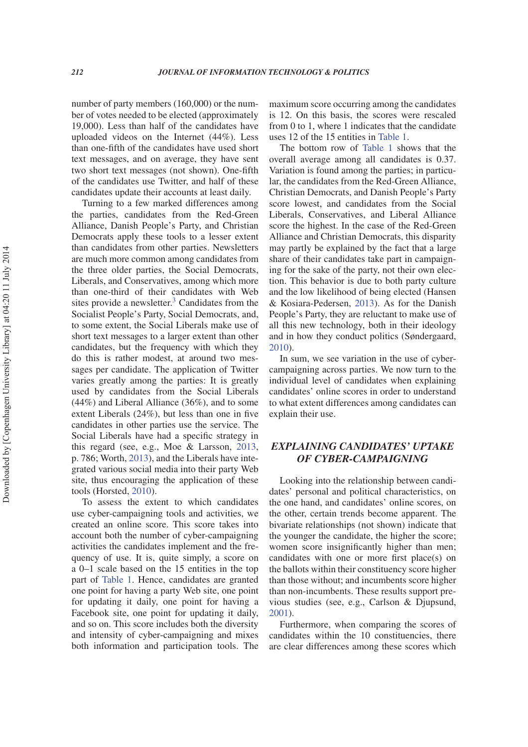number of party members (160,000) or the number of votes needed to be elected (approximately 19,000). Less than half of the candidates have uploaded videos on the Internet (44%). Less than one-fifth of the candidates have used short text messages, and on average, they have sent two short text messages (not shown). One-fifth of the candidates use Twitter, and half of these candidates update their accounts at least daily.

Turning to a few marked differences among the parties, candidates from the Red-Green Alliance, Danish People's Party, and Christian Democrats apply these tools to a lesser extent than candidates from other parties. Newsletters are much more common among candidates from the three older parties, the Social Democrats, Liberals, and Conservatives, among which more than one-third of their candidates with Web sites provide a newsletter. $3$  Candidates from the Socialist People's Party, Social Democrats, and, to some extent, the Social Liberals make use of short text messages to a larger extent than other candidates, but the frequency with which they do this is rather modest, at around two messages per candidate. The application of Twitter varies greatly among the parties: It is greatly used by candidates from the Social Liberals (44%) and Liberal Alliance (36%), and to some extent Liberals (24%), but less than one in five candidates in other parties use the service. The Social Liberals have had a specific strategy in this regard (see, e.g., Moe & Larsson, 2013, p. 786; Worth, 2013), and the Liberals have integrated various social media into their party Web site, thus encouraging the application of these tools (Horsted, 2010).

To assess the extent to which candidates use cyber-campaigning tools and activities, we created an online score. This score takes into account both the number of cyber-campaigning activities the candidates implement and the frequency of use. It is, quite simply, a score on a 0–1 scale based on the 15 entities in the top part of Table 1. Hence, candidates are granted one point for having a party Web site, one point for updating it daily, one point for having a Facebook site, one point for updating it daily, and so on. This score includes both the diversity and intensity of cyber-campaigning and mixes both information and participation tools. The maximum score occurring among the candidates is 12. On this basis, the scores were rescaled from 0 to 1, where 1 indicates that the candidate uses 12 of the 15 entities in Table 1.

The bottom row of Table 1 shows that the overall average among all candidates is 0.37. Variation is found among the parties; in particular, the candidates from the Red-Green Alliance, Christian Democrats, and Danish People's Party score lowest, and candidates from the Social Liberals, Conservatives, and Liberal Alliance score the highest. In the case of the Red-Green Alliance and Christian Democrats, this disparity may partly be explained by the fact that a large share of their candidates take part in campaigning for the sake of the party, not their own election. This behavior is due to both party culture and the low likelihood of being elected (Hansen & Kosiara-Pedersen, 2013). As for the Danish People's Party, they are reluctant to make use of all this new technology, both in their ideology and in how they conduct politics (Søndergaard, 2010).

In sum, we see variation in the use of cybercampaigning across parties. We now turn to the individual level of candidates when explaining candidates' online scores in order to understand to what extent differences among candidates can explain their use.

### *EXPLAINING CANDIDATES' UPTAKE OF CYBER-CAMPAIGNING*

Looking into the relationship between candidates' personal and political characteristics, on the one hand, and candidates' online scores, on the other, certain trends become apparent. The bivariate relationships (not shown) indicate that the younger the candidate, the higher the score; women score insignificantly higher than men; candidates with one or more first place(s) on the ballots within their constituency score higher than those without; and incumbents score higher than non-incumbents. These results support previous studies (see, e.g., Carlson & Djupsund, 2001).

Furthermore, when comparing the scores of candidates within the 10 constituencies, there are clear differences among these scores which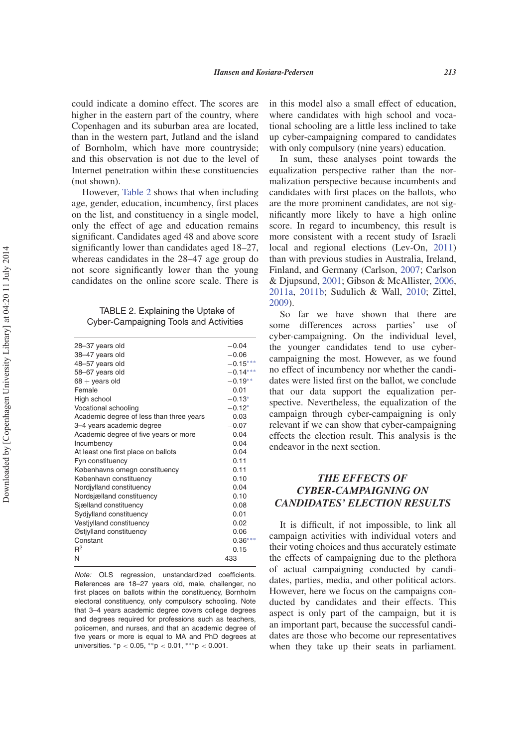could indicate a domino effect. The scores are higher in the eastern part of the country, where Copenhagen and its suburban area are located, than in the western part, Jutland and the island of Bornholm, which have more countryside; and this observation is not due to the level of Internet penetration within these constituencies (not shown).

However, Table 2 shows that when including age, gender, education, incumbency, first places on the list, and constituency in a single model, only the effect of age and education remains significant. Candidates aged 48 and above score significantly lower than candidates aged 18–27, whereas candidates in the 28–47 age group do not score significantly lower than the young candidates on the online score scale. There is

TABLE 2. Explaining the Uptake of Cyber-Campaigning Tools and Activities

| 28-37 years old                          | $-0.04$    |
|------------------------------------------|------------|
| 38-47 years old                          | $-0.06$    |
| 48-57 years old                          | $-0.15***$ |
| 58-67 years old                          | $-0.14***$ |
| $68 +$ years old                         | $-0.19**$  |
| Female                                   | 0.01       |
| High school                              | $-0.13*$   |
| Vocational schooling                     | $-0.12*$   |
| Academic degree of less than three years | 0.03       |
| 3-4 years academic degree                | $-0.07$    |
| Academic degree of five years or more    | 0.04       |
| Incumbency                               | 0.04       |
| At least one first place on ballots      | 0.04       |
| Fyn constituency                         | 0.11       |
| Københavns omegn constituency            | 0.11       |
| København constituency                   | 0.10       |
| Nordiylland constituency                 | 0.04       |
| Nordsjælland constituency                | 0.10       |
| Sjælland constituency                    | 0.08       |
| Sydjylland constituency                  | 0.01       |
| Vestiylland constituency                 | 0.02       |
| Østjylland constituency                  | 0.06       |
| Constant                                 | $0.36***$  |
| $R^2$                                    | 0.15       |
| N                                        | 433        |
|                                          |            |

Note: OLS regression, unstandardized coefficients. References are 18–27 years old, male, challenger, no first places on ballots within the constituency, Bornholm electoral constituency, only compulsory schooling. Note that 3–4 years academic degree covers college degrees and degrees required for professions such as teachers, policemen, and nurses, and that an academic degree of five years or more is equal to MA and PhD degrees at universities.  ${}^*p$  < 0.05,  ${}^{**}p$  < 0.01,  ${}^{**}p$  < 0.001.

in this model also a small effect of education, where candidates with high school and vocational schooling are a little less inclined to take up cyber-campaigning compared to candidates with only compulsory (nine years) education.

In sum, these analyses point towards the equalization perspective rather than the normalization perspective because incumbents and candidates with first places on the ballots, who are the more prominent candidates, are not significantly more likely to have a high online score. In regard to incumbency, this result is more consistent with a recent study of Israeli local and regional elections (Lev-On, 2011) than with previous studies in Australia, Ireland, Finland, and Germany (Carlson, 2007; Carlson & Djupsund, 2001; Gibson & McAllister, 2006, 2011a, 2011b; Sudulich & Wall, 2010; Zittel, 2009).

So far we have shown that there are some differences across parties' use cyber-campaigning. On the individual level, the younger candidates tend to use cybercampaigning the most. However, as we found no effect of incumbency nor whether the candidates were listed first on the ballot, we conclude that our data support the equalization perspective. Nevertheless, the equalization of the campaign through cyber-campaigning is only relevant if we can show that cyber-campaigning effects the election result. This analysis is the endeavor in the next section.

# *THE EFFECTS OF CYBER-CAMPAIGNING ON CANDIDATES' ELECTION RESULTS*

It is difficult, if not impossible, to link all campaign activities with individual voters and their voting choices and thus accurately estimate the effects of campaigning due to the plethora of actual campaigning conducted by candidates, parties, media, and other political actors. However, here we focus on the campaigns conducted by candidates and their effects. This aspect is only part of the campaign, but it is an important part, because the successful candidates are those who become our representatives when they take up their seats in parliament.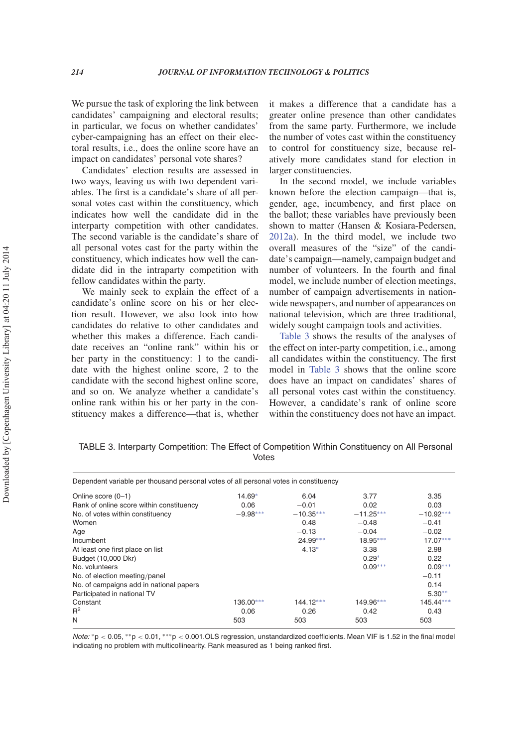We pursue the task of exploring the link between candidates' campaigning and electoral results; in particular, we focus on whether candidates' cyber-campaigning has an effect on their electoral results, i.e., does the online score have an impact on candidates' personal vote shares?

Candidates' election results are assessed in two ways, leaving us with two dependent variables. The first is a candidate's share of all personal votes cast within the constituency, which indicates how well the candidate did in the interparty competition with other candidates. The second variable is the candidate's share of all personal votes cast for the party within the constituency, which indicates how well the candidate did in the intraparty competition with fellow candidates within the party.

We mainly seek to explain the effect of a candidate's online score on his or her election result. However, we also look into how candidates do relative to other candidates and whether this makes a difference. Each candidate receives an "online rank" within his or her party in the constituency: 1 to the candidate with the highest online score, 2 to the candidate with the second highest online score, and so on. We analyze whether a candidate's online rank within his or her party in the constituency makes a difference—that is, whether

it makes a difference that a candidate has a greater online presence than other candidates from the same party. Furthermore, we include the number of votes cast within the constituency to control for constituency size, because relatively more candidates stand for election in larger constituencies.

In the second model, we include variables known before the election campaign—that is, gender, age, incumbency, and first place on the ballot; these variables have previously been shown to matter (Hansen & Kosiara-Pedersen, 2012a). In the third model, we include two overall measures of the "size" of the candidate's campaign—namely, campaign budget and number of volunteers. In the fourth and final model, we include number of election meetings, number of campaign advertisements in nationwide newspapers, and number of appearances on national television, which are three traditional, widely sought campaign tools and activities.

Table 3 shows the results of the analyses of the effect on inter-party competition, i.e., among all candidates within the constituency. The first model in Table 3 shows that the online score does have an impact on candidates' shares of all personal votes cast within the constituency. However, a candidate's rank of online score within the constituency does not have an impact.

TABLE 3. Interparty Competition: The Effect of Competition Within Constituency on All Personal Votes

| Dependent variable per thousand personal votes of all personal votes in constituency |            |             |             |             |
|--------------------------------------------------------------------------------------|------------|-------------|-------------|-------------|
| Online score (0-1)                                                                   | 14.69*     | 6.04        | 3.77        | 3.35        |
| Rank of online score within constituency                                             | 0.06       | $-0.01$     | 0.02        | 0.03        |
| No. of votes within constituency                                                     | $-9.98***$ | $-10.35***$ | $-11.25***$ | $-10.92***$ |
| Women                                                                                |            | 0.48        | $-0.48$     | $-0.41$     |
| Age                                                                                  |            | $-0.13$     | $-0.04$     | $-0.02$     |
| Incumbent                                                                            |            | 24.99***    | 18.95***    | $17.07***$  |
| At least one first place on list                                                     |            | $4.13*$     | 3.38        | 2.98        |
| Budget (10,000 Dkr)                                                                  |            |             | $0.29*$     | 0.22        |
| No. volunteers                                                                       |            |             | $0.09***$   | $0.09***$   |
| No. of election meeting/panel                                                        |            |             |             | $-0.11$     |
| No. of campaigns add in national papers                                              |            |             |             | 0.14        |
| Participated in national TV                                                          |            |             |             | $5.30**$    |
| Constant                                                                             | 136.00***  | 144.12***   | 149.96***   | 145.44***   |
| $R^2$                                                                                | 0.06       | 0.26        | 0.42        | 0.43        |
| N                                                                                    | 503        | 503         | 503         | 503         |

Note: \*p < 0.05, \*\*p < 0.01, \*\*\*p < 0.001.OLS regression, unstandardized coefficients. Mean VIF is 1.52 in the final model indicating no problem with multicollinearity. Rank measured as 1 being ranked first.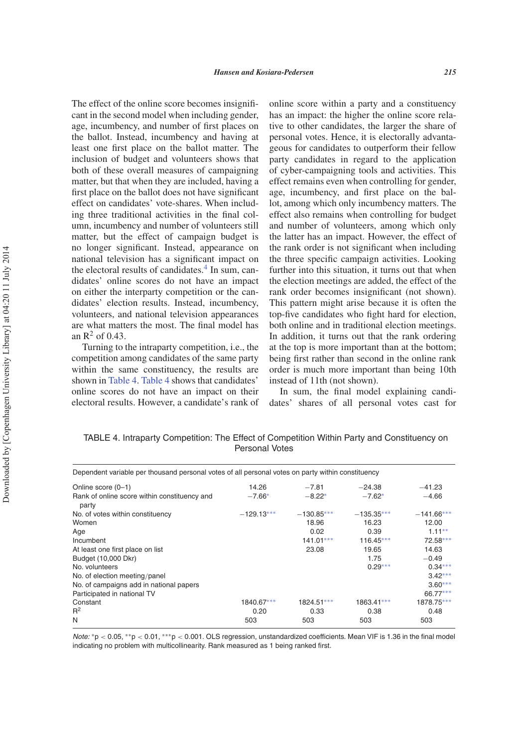The effect of the online score becomes insignificant in the second model when including gender, age, incumbency, and number of first places on the ballot. Instead, incumbency and having at least one first place on the ballot matter. The inclusion of budget and volunteers shows that both of these overall measures of campaigning matter, but that when they are included, having a first place on the ballot does not have significant effect on candidates' vote-shares. When including three traditional activities in the final column, incumbency and number of volunteers still matter, but the effect of campaign budget is no longer significant. Instead, appearance on national television has a significant impact on the electoral results of candidates.<sup>4</sup> In sum, candidates' online scores do not have an impact on either the interparty competition or the candidates' election results. Instead, incumbency, volunteers, and national television appearances are what matters the most. The final model has an  $\mathbb{R}^2$  of 0.43.

Turning to the intraparty competition, i.e., the competition among candidates of the same party within the same constituency, the results are shown in Table 4. Table 4 shows that candidates' online scores do not have an impact on their electoral results. However, a candidate's rank of

online score within a party and a constituency has an impact: the higher the online score relative to other candidates, the larger the share of personal votes. Hence, it is electorally advantageous for candidates to outperform their fellow party candidates in regard to the application of cyber-campaigning tools and activities. This effect remains even when controlling for gender, age, incumbency, and first place on the ballot, among which only incumbency matters. The effect also remains when controlling for budget and number of volunteers, among which only the latter has an impact. However, the effect of the rank order is not significant when including the three specific campaign activities. Looking further into this situation, it turns out that when the election meetings are added, the effect of the rank order becomes insignificant (not shown). This pattern might arise because it is often the top-five candidates who fight hard for election, both online and in traditional election meetings. In addition, it turns out that the rank ordering at the top is more important than at the bottom; being first rather than second in the online rank order is much more important than being 10th instead of 11th (not shown).

In sum, the final model explaining candidates' shares of all personal votes cast for

TABLE 4. Intraparty Competition: The Effect of Competition Within Party and Constituency on Personal Votes

| Dependent variable per thousand personal votes of all personal votes on party within constituency |              |              |              |              |
|---------------------------------------------------------------------------------------------------|--------------|--------------|--------------|--------------|
| Online score (0-1)                                                                                | 14.26        | $-7.81$      | $-24.38$     | $-41.23$     |
| Rank of online score within constituency and<br>party                                             | $-7.66*$     | $-8.22*$     | $-7.62*$     | $-4.66$      |
| No. of votes within constituency                                                                  | $-129.13***$ | $-130.85***$ | $-135.35***$ | $-141.66***$ |
| Women                                                                                             |              | 18.96        | 16.23        | 12.00        |
| Age                                                                                               |              | 0.02         | 0.39         | $1.11***$    |
| Incumbent                                                                                         |              | $141.01***$  | $116.45***$  | 72.58***     |
| At least one first place on list                                                                  |              | 23.08        | 19.65        | 14.63        |
| Budget (10,000 Dkr)                                                                               |              |              | 1.75         | $-0.49$      |
| No. volunteers                                                                                    |              |              | $0.29***$    | $0.34***$    |
| No. of election meeting/panel                                                                     |              |              |              | $3.42***$    |
| No. of campaigns add in national papers                                                           |              |              |              | $3.60***$    |
| Participated in national TV                                                                       |              |              |              | 66.77***     |
| Constant                                                                                          | 1840.67***   | 1824.51***   | 1863.41 ***  | 1878.75***   |
| $R^2$                                                                                             | 0.20         | 0.33         | 0.38         | 0.48         |
| N                                                                                                 | 503          | 503          | 503          | 503          |

Note: \*p < 0.05, \*\*p < 0.01, \*\*\*p < 0.001. OLS regression, unstandardized coefficients. Mean VIF is 1.36 in the final model indicating no problem with multicollinearity. Rank measured as 1 being ranked first.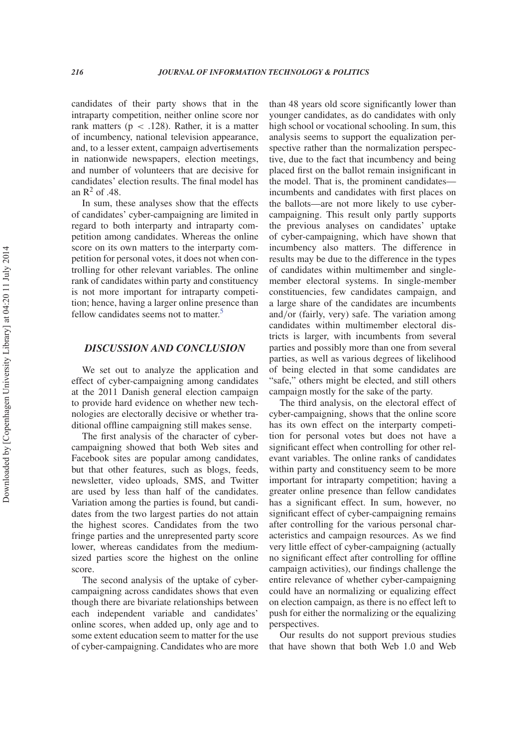candidates of their party shows that in the intraparty competition, neither online score nor rank matters ( $p < .128$ ). Rather, it is a matter of incumbency, national television appearance, and, to a lesser extent, campaign advertisements in nationwide newspapers, election meetings, and number of volunteers that are decisive for candidates' election results. The final model has an  $\mathbb{R}^2$  of 48.

In sum, these analyses show that the effects of candidates' cyber-campaigning are limited in regard to both interparty and intraparty competition among candidates. Whereas the online score on its own matters to the interparty competition for personal votes, it does not when controlling for other relevant variables. The online rank of candidates within party and constituency is not more important for intraparty competition; hence, having a larger online presence than fellow candidates seems not to matter.<sup>5</sup>

#### *DISCUSSION AND CONCLUSION*

We set out to analyze the application and effect of cyber-campaigning among candidates at the 2011 Danish general election campaign to provide hard evidence on whether new technologies are electorally decisive or whether traditional offline campaigning still makes sense.

The first analysis of the character of cybercampaigning showed that both Web sites and Facebook sites are popular among candidates, but that other features, such as blogs, feeds, newsletter, video uploads, SMS, and Twitter are used by less than half of the candidates. Variation among the parties is found, but candidates from the two largest parties do not attain the highest scores. Candidates from the two fringe parties and the unrepresented party score lower, whereas candidates from the mediumsized parties score the highest on the online score.

The second analysis of the uptake of cybercampaigning across candidates shows that even though there are bivariate relationships between each independent variable and candidates' online scores, when added up, only age and to some extent education seem to matter for the use of cyber-campaigning. Candidates who are more

than 48 years old score significantly lower than younger candidates, as do candidates with only high school or vocational schooling. In sum, this analysis seems to support the equalization perspective rather than the normalization perspective, due to the fact that incumbency and being placed first on the ballot remain insignificant in the model. That is, the prominent candidates incumbents and candidates with first places on the ballots—are not more likely to use cybercampaigning. This result only partly supports the previous analyses on candidates' uptake of cyber-campaigning, which have shown that incumbency also matters. The difference in results may be due to the difference in the types of candidates within multimember and singlemember electoral systems. In single-member constituencies, few candidates campaign, and a large share of the candidates are incumbents and/or (fairly, very) safe. The variation among candidates within multimember electoral districts is larger, with incumbents from several parties and possibly more than one from several parties, as well as various degrees of likelihood of being elected in that some candidates are "safe," others might be elected, and still others campaign mostly for the sake of the party.

The third analysis, on the electoral effect of cyber-campaigning, shows that the online score has its own effect on the interparty competition for personal votes but does not have a significant effect when controlling for other relevant variables. The online ranks of candidates within party and constituency seem to be more important for intraparty competition; having a greater online presence than fellow candidates has a significant effect. In sum, however, no significant effect of cyber-campaigning remains after controlling for the various personal characteristics and campaign resources. As we find very little effect of cyber-campaigning (actually no significant effect after controlling for offline campaign activities), our findings challenge the entire relevance of whether cyber-campaigning could have an normalizing or equalizing effect on election campaign, as there is no effect left to push for either the normalizing or the equalizing perspectives.

Our results do not support previous studies that have shown that both Web 1.0 and Web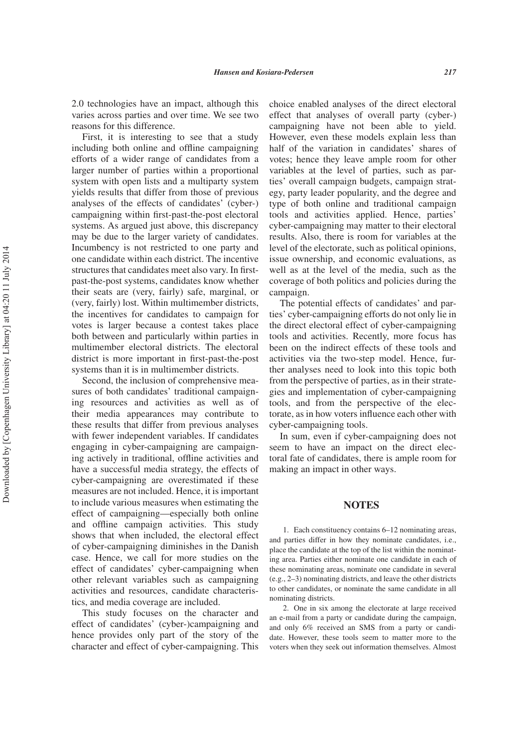2.0 technologies have an impact, although this varies across parties and over time. We see two reasons for this difference.

First, it is interesting to see that a study including both online and offline campaigning efforts of a wider range of candidates from a larger number of parties within a proportional system with open lists and a multiparty system yields results that differ from those of previous analyses of the effects of candidates' (cyber-) campaigning within first-past-the-post electoral systems. As argued just above, this discrepancy may be due to the larger variety of candidates. Incumbency is not restricted to one party and one candidate within each district. The incentive structures that candidates meet also vary. In firstpast-the-post systems, candidates know whether their seats are (very, fairly) safe, marginal, or (very, fairly) lost. Within multimember districts, the incentives for candidates to campaign for votes is larger because a contest takes place both between and particularly within parties in multimember electoral districts. The electoral district is more important in first-past-the-post systems than it is in multimember districts.

Second, the inclusion of comprehensive measures of both candidates' traditional campaigning resources and activities as well as of their media appearances may contribute to these results that differ from previous analyses with fewer independent variables. If candidates engaging in cyber-campaigning are campaigning actively in traditional, offline activities and have a successful media strategy, the effects of cyber-campaigning are overestimated if these measures are not included. Hence, it is important to include various measures when estimating the effect of campaigning—especially both online and offline campaign activities. This study shows that when included, the electoral effect of cyber-campaigning diminishes in the Danish case. Hence, we call for more studies on the effect of candidates' cyber-campaigning when other relevant variables such as campaigning activities and resources, candidate characteristics, and media coverage are included.

This study focuses on the character and effect of candidates' (cyber-)campaigning and hence provides only part of the story of the character and effect of cyber-campaigning. This

choice enabled analyses of the direct electoral effect that analyses of overall party (cyber-) campaigning have not been able to yield. However, even these models explain less than half of the variation in candidates' shares of votes; hence they leave ample room for other variables at the level of parties, such as parties' overall campaign budgets, campaign strategy, party leader popularity, and the degree and type of both online and traditional campaign tools and activities applied. Hence, parties' cyber-campaigning may matter to their electoral results. Also, there is room for variables at the level of the electorate, such as political opinions, issue ownership, and economic evaluations, as well as at the level of the media, such as the coverage of both politics and policies during the campaign.

The potential effects of candidates' and parties' cyber-campaigning efforts do not only lie in the direct electoral effect of cyber-campaigning tools and activities. Recently, more focus has been on the indirect effects of these tools and activities via the two-step model. Hence, further analyses need to look into this topic both from the perspective of parties, as in their strategies and implementation of cyber-campaigning tools, and from the perspective of the electorate, as in how voters influence each other with cyber-campaigning tools.

In sum, even if cyber-campaigning does not seem to have an impact on the direct electoral fate of candidates, there is ample room for making an impact in other ways.

#### **NOTES**

1. Each constituency contains 6–12 nominating areas, and parties differ in how they nominate candidates, i.e., place the candidate at the top of the list within the nominating area. Parties either nominate one candidate in each of these nominating areas, nominate one candidate in several (e.g., 2–3) nominating districts, and leave the other districts to other candidates, or nominate the same candidate in all nominating districts.

2. One in six among the electorate at large received an e-mail from a party or candidate during the campaign, and only 6% received an SMS from a party or candidate. However, these tools seem to matter more to the voters when they seek out information themselves. Almost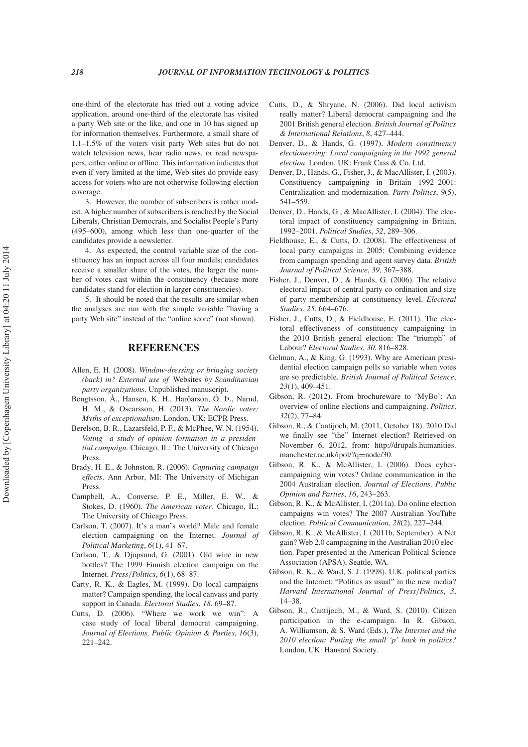one-third of the electorate has tried out a voting advice application, around one-third of the electorate has visited a party Web site or the like, and one in 10 has signed up for information themselves. Furthermore, a small share of 1.1–1.5% of the voters visit party Web sites but do not watch television news, hear radio news, or read newspapers, either online or offline. This information indicates that even if very limited at the time, Web sites do provide easy access for voters who are not otherwise following election coverage.

3. However, the number of subscribers is rather modest. A higher number of subscribers is reached by the Social Liberals, Christian Democrats, and Socialist People's Party (495–600), among which less than one-quarter of the candidates provide a newsletter.

4. As expected, the control variable size of the constituency has an impact across all four models; candidates receive a smaller share of the votes, the larger the number of votes cast within the constituency (because more candidates stand for election in larger constituencies).

5. It should be noted that the results are similar when the analyses are run with the simple variable "having a party Web site" instead of the "online score" (not shown).

#### **REFERENCES**

- Allen, E. H. (2008). *Window-dressing or bringing society (back) in? External use of* Websites *by Scandinavian party organizations*. Unpublished manuscript.
- Bengtsson, Å., Hansen, K. H., Harõarson, Ó. Þ., Narud, H. M., & Oscarsson, H. (2013). *The Nordic voter: Myths of exceptionalism*. London, UK: ECPR Press.
- Berelson, B. R., Lazarsfeld, P. F., & McPhee, W. N. (1954). *Voting—a study of opinion formation in a presidential campaign*. Chicago, IL: The University of Chicago Press.
- Brady, H. E., & Johnston, R. (2006). *Capturing campaign effects*. Ann Arbor, MI: The University of Michigan Press.
- Campbell, A., Converse, P. E., Miller, E. W., & Stokes, D. (1960). *The American voter*. Chicago, IL: The University of Chicago Press.
- Carlson, T. (2007). It's a man's world? Male and female election campaigning on the Internet. *Journal of Political Marketing*, *6*(1), 41–67.
- Carlson, T., & Djupsund, G. (2001). Old wine in new bottles? The 1999 Finnish election campaign on the Internet. *Press*/*Politics*, *6*(1), 68–87.
- Carty, R. K., & Eagles, M. (1999). Do local campaigns matter? Campaign spending, the local canvass and party support in Canada. *Electoral Studies*, *18*, 69–87.
- Cutts, D. (2006). "Where we work we win": A case study of local liberal democrat campaigning. *Journal of Elections, Public Opinion & Parties*, *16*(3), 221–242.
- Cutts, D., & Shryane, N. (2006). Did local activism really matter? Liberal democrat campaigning and the 2001 British general election. *British Journal of Politics & International Relations*, *8*, 427–444.
- Denver, D., & Hands, G. (1997). *Modern constituency electioneering: Local campaigning in the 1992 general election*. London, UK: Frank Cass & Co. Ltd.
- Denver, D., Hands, G., Fisher, J., & MacAllister, I. (2003). Constituency campaigning in Britain 1992–2001: Centralization and modernization. *Party Politics*, *9*(5), 541–559.
- Denver, D., Hands, G., & MacAllister, I. (2004). The electoral impact of constituency campaigning in Britain, 1992–2001. *Political Studies*, *52*, 289–306.
- Fieldhouse, E., & Cutts, D. (2008). The effectiveness of local party campaigns in 2005: Combining evidence from campaign spending and agent survey data. *British Journal of Political Science*, *39*, 367–388.
- Fisher, J., Denver, D., & Hands, G. (2006). The relative electoral impact of central party co-ordination and size of party membership at constituency level. *Electoral Studies*, *25*, 664–676.
- Fisher, J., Cutts, D., & Fieldhouse, E. (2011). The electoral effectiveness of constituency campaigning in the 2010 British general election: The "triumph" of Labour? *Electoral Studies*, *30*, 816–828.
- Gelman, A., & King, G. (1993). Why are American presidential election campaign polls so variable when votes are so predictable. *British Journal of Political Science*, *23*(1), 409–451.
- Gibson, R. (2012). From brochureware to 'MyBo': An overview of online elections and campaigning. *Politics*, *32*(2), 77–84.
- Gibson, R., & Cantijoch, M. (2011, October 18). 2010:Did we finally see "the" Internet election? Retrieved on November 6, 2012, from: http://drupals.humanities. manchester.ac.uk/ipol/?q=node/30.
- Gibson, R. K., & McAllister, I. (2006). Does cybercampaigning win votes? Online communication in the 2004 Australian election. *Journal of Elections, Public Opinion and Parties*, *16*, 243–263.
- Gibson, R. K., & McAllister, I. (2011a). Do online election campaigns win votes? The 2007 Australian YouTube election. *Political Communication*, *28*(2), 227–244.
- Gibson, R. K., & McAllister, I. (2011b, September). A Net gain? Web 2.0 campaigning in the Australian 2010 election. Paper presented at the American Political Science Association (APSA), Seattle, WA.
- Gibson, R. K., & Ward, S. J. (1998). U.K. political parties and the Internet: "Politics as usual" in the new media? *Harvard International Journal of Press*/*Politics*, *3*, 14–38.
- Gibson, R., Cantijoch, M., & Ward, S. (2010). Citizen participation in the e-campaign. In R. Gibson, A. Williamson, & S. Ward (Eds.), *The Internet and the 2010 election: Putting the small 'p' back in politics?* London, UK: Hansard Society.